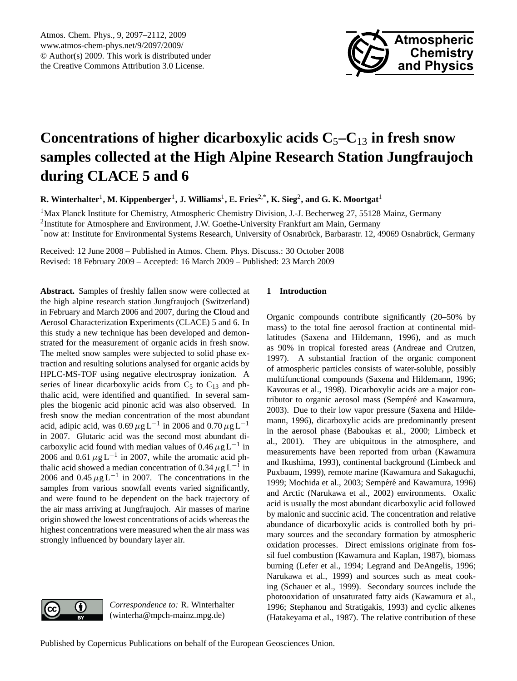

# <span id="page-0-0"></span>**Concentrations of higher dicarboxylic acids C**5**–C**<sup>13</sup> **in fresh snow samples collected at the High Alpine Research Station Jungfraujoch during CLACE 5 and 6**

**R. Winterhalter**<sup>1</sup> **, M. Kippenberger**<sup>1</sup> **, J. Williams**<sup>1</sup> **, E. Fries**2,\***, K. Sieg**<sup>2</sup> **, and G. K. Moortgat**<sup>1</sup>

<sup>1</sup>Max Planck Institute for Chemistry, Atmospheric Chemistry Division, J.-J. Becherweg 27, 55128 Mainz, Germany <sup>2</sup>Institute for Atmosphere and Environment, J.W. Goethe-University Frankfurt am Main, Germany \*now at: Institute for Environmental Systems Research, University of Osnabrück, Barbarastr. 12, 49069 Osnabrück, Germany

Received: 12 June 2008 – Published in Atmos. Chem. Phys. Discuss.: 30 October 2008 Revised: 18 February 2009 – Accepted: 16 March 2009 – Published: 23 March 2009

**Abstract.** Samples of freshly fallen snow were collected at the high alpine research station Jungfraujoch (Switzerland) in February and March 2006 and 2007, during the **Cl**oud and **A**erosol **C**haracterization **E**xperiments (CLACE) 5 and 6. In this study a new technique has been developed and demonstrated for the measurement of organic acids in fresh snow. The melted snow samples were subjected to solid phase extraction and resulting solutions analysed for organic acids by HPLC-MS-TOF using negative electrospray ionization. A series of linear dicarboxylic acids from  $C_5$  to  $C_{13}$  and phthalic acid, were identified and quantified. In several samples the biogenic acid pinonic acid was also observed. In fresh snow the median concentration of the most abundant acid, adipic acid, was  $0.69 \,\mu g L^{-1}$  in 2006 and  $0.70 \,\mu g L^{-1}$ in 2007. Glutaric acid was the second most abundant dicarboxylic acid found with median values of  $0.46 \mu g L^{-1}$  in 2006 and 0.61  $\mu$ g L<sup>-1</sup> in 2007, while the aromatic acid phthalic acid showed a median concentration of 0.34  $\mu$ g L<sup>-1</sup> in 2006 and  $0.45 \mu g L^{-1}$  in 2007. The concentrations in the samples from various snowfall events varied significantly, and were found to be dependent on the back trajectory of the air mass arriving at Jungfraujoch. Air masses of marine origin showed the lowest concentrations of acids whereas the highest concentrations were measured when the air mass was strongly influenced by boundary layer air.

# **1 Introduction**

Organic compounds contribute significantly (20–50% by mass) to the total fine aerosol fraction at continental midlatitudes (Saxena and Hildemann, 1996), and as much as 90% in tropical forested areas (Andreae and Crutzen, 1997). A substantial fraction of the organic component of atmospheric particles consists of water-soluble, possibly multifunctional compounds (Saxena and Hildemann, 1996; Kavouras et al., 1998). Dicarboxylic acids are a major contributor to organic aerosol mass (Sempéré and Kawamura, 2003). Due to their low vapor pressure (Saxena and Hildemann, 1996), dicarboxylic acids are predominantly present in the aerosol phase (Baboukas et al., 2000; Limbeck et al., 2001). They are ubiquitous in the atmosphere, and measurements have been reported from urban (Kawamura and Ikushima, 1993), continental background (Limbeck and Puxbaum, 1999), remote marine (Kawamura and Sakaguchi, 1999; Mochida et al., 2003; Sempéré and Kawamura, 1996) and Arctic (Narukawa et al., 2002) environments. Oxalic acid is usually the most abundant dicarboxylic acid followed by malonic and succinic acid. The concentration and relative abundance of dicarboxylic acids is controlled both by primary sources and the secondary formation by atmospheric oxidation processes. Direct emissions originate from fossil fuel combustion (Kawamura and Kaplan, 1987), biomass burning (Lefer et al., 1994; Legrand and DeAngelis, 1996; Narukawa et al., 1999) and sources such as meat cooking (Schauer et al., 1999). Secondary sources include the photooxidation of unsaturated fatty aids (Kawamura et al., 1996; Stephanou and Stratigakis, 1993) and cyclic alkenes (Hatakeyama et al., 1987). The relative contribution of these

*Correspondence to:* R. Winterhalter (winterha@mpch-mainz.mpg.de)

0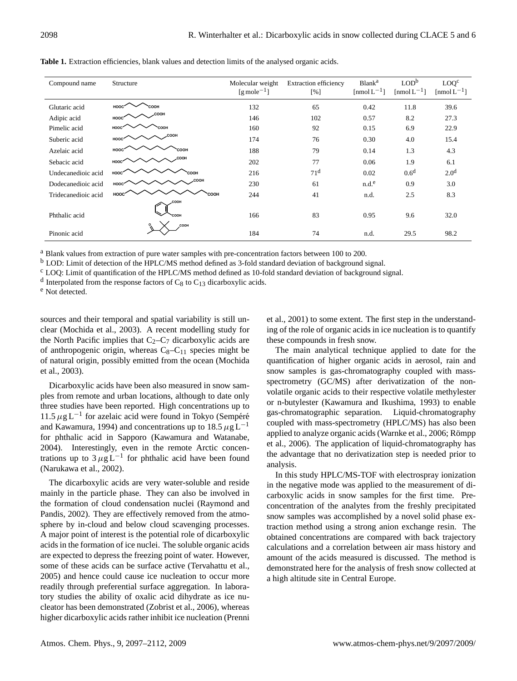| 2098                |                                                                                                    |                                                       | R. Winterhalter et al.: Dicarboxylic acids in snow collected during CLACE 5 and 6 |                                                     |                                              |                                      |
|---------------------|----------------------------------------------------------------------------------------------------|-------------------------------------------------------|-----------------------------------------------------------------------------------|-----------------------------------------------------|----------------------------------------------|--------------------------------------|
|                     | Table 1. Extraction efficiencies, blank values and detection limits of the analysed organic acids. |                                                       |                                                                                   |                                                     |                                              |                                      |
| Compound name       | Structure                                                                                          | Molecular weight<br>$\left[\text{g mole}^{-1}\right]$ | <b>Extraction efficiency</b><br>[%]                                               | <b>Blank</b> <sup>a</sup><br>$[{\rm nmol}\,L^{-1}]$ | LOD <sup>b</sup><br>$\text{[nmol } L^{-1}$ ] | LOQ <sup>c</sup><br>[nmol $L^{-1}$ ] |
| Glutaric acid       | COOH<br>HOOC                                                                                       | 132                                                   | 65                                                                                | 0.42                                                | 11.8                                         | 39.6                                 |
| Adipic acid         | оон<br>HOOC                                                                                        | 146                                                   | 102                                                                               | 0.57                                                | 8.2                                          | 27.3                                 |
| Pimelic acid        | HOOO<br><b>HOO:</b>                                                                                | 160                                                   | 92                                                                                | 0.15                                                | 6.9                                          | 22.9                                 |
| Suberic acid        | юон<br>HOO                                                                                         | 174                                                   | 76                                                                                | 0.30                                                | 4.0                                          | 15.4                                 |
| Azelaic acid        | HOO                                                                                                | 188                                                   | 79                                                                                | 0.14                                                | 1.3                                          | 4.3                                  |
| Sebacic acid        | HOOC                                                                                               | 202                                                   | 77                                                                                | 0.06                                                | 1.9                                          | 6.1                                  |
| Undecanedioic acid  | HOOC                                                                                               | 216                                                   | 71 <sup>d</sup>                                                                   | 0.02                                                | 0.6 <sup>d</sup>                             | 2.0 <sup>d</sup>                     |
| Dodecanedioic acid  | HOOO                                                                                               | 230                                                   | 61                                                                                | n.d. <sup>e</sup>                                   | 0.9                                          | 3.0                                  |
| Tridecanedioic acid | HOOC<br>соон<br>:оон                                                                               | 244                                                   | 41                                                                                | n.d.                                                | 2.5                                          | 8.3                                  |
| Phthalic acid       | :OOH                                                                                               | 166                                                   | 83                                                                                | 0.95                                                | 9.6                                          | 32.0                                 |
| Pinonic acid        | COOH                                                                                               | 184                                                   | 74                                                                                | n.d.                                                | 29.5                                         | 98.2                                 |

Table 1. Extraction efficiencies, blank values and detection limits of the analysed organic acids. able 1. Extraction efficiencies, blank values and detection limits of the analysed organic acids. Advertis Entertain Choronology crain values and detection minister and sharp see expanse acres.

Blank values from extraction of pure water samples with pre-concentration factors between 100 to 200. Blank values from extraction of pure water samples with pre-concentration factors between 100 to 200. Blank values from extraction of pure water samples with pre-concentration factors between 100 to 200. <sup>a</sup> Blank values from extraction of pure water samples with pre-concentration factors between 100 to 200.

<sup>b</sup> LOD: Limit of detection of the HPLC/MS method defined as 3-fold standard deviation of background signal.

<sup>c</sup> LOQ: Limit of quantication of the HPLC/MS method defined as 10-fold standard deviation of background signal.

 $\frac{1}{2}$  Detail and the coordination of the FIFE DIMB memory defined as 10 total standard deviation of background signal.<br><sup>2</sup> Net districted  $\frac{d}{dt}$  blank values from the HPLC/MS method defined as 3-fold standard deviation of background signals of  $C_8$  to  $C_{13}$  dicarboxylic acids.  $\frac{1}{2}$  begin the HPLC/MS method defined as 10-fold standard deviation of background signal signal signal signal signal signal signal signal signal signal signal signal signal signal signal signal signal signal signal s <sup>d</sup> Interpolated from the response factors of C<sub>8</sub> to C<sub>13</sub> dicarboxylic acids. d Interpolated from the response factors of  $C_8$  to  $C_{13}$  dicarboxylic acids.

Production contains the contains of the contains of the contains of the contains of the contains of the contains of the contains of the contains of the contains of the contains of the contains of the contains of the contai Not detected. e Not detected.  $B_{\text{B}}$  values water samples with pre-concentration factors between  $\frac{1}{2}$  $\Gamma$  and detection.  $\Gamma$  and defined as  $\Gamma$  $\frac{1}{100}$  the response factors of  $C_8$  to  $C_9$  to  $C_9$ <sup>e</sup> Not detected e Not detected.

sources and their temporal and spatial variability is still un-<br>et al., 2001) to some extent. The firclear (Mochida et al., 2003). A recent modelling study for ing of the role of organic acids in ic he North Pacific implies that  $C_2 - C_7$  dicarboxylic acids are the North Pacific implies that  $C_2-C_7$  dicarboxylic acids are sources and their temporal and spatial variability is still un-et al., 2001) to some extent. The firs sources and their temporal and spatial variability is still unof anthropogenic origin, whereas  $C_8 - C_{11}$  species might be of natural origin, possibly emitted from the ocean (Mochida et al., 2003).

Dicarboxylic acids have been also measured in snow samples from remote and urban locations, although to date only three studies have been reported. High concentrations up to 11.5  $\mu$ g L<sup>-1</sup> for azelaic acid were found in Tokyo (Sempéré and Kawamura, 1994) and concentrations up to  $18.5 \mu g L^{-1}$ for phthalic acid in Sapporo (Kawamura and Watanabe, 2004). Interestingly, even in the remote Arctic concentrations up to  $3 \mu g L^{-1}$  for phthalic acid have been found (Narukawa et al., 2002).

The dicarboxylic acids are very water-soluble and reside mainly in the particle phase. They can also be involved in the formation of cloud condensation nuclei (Raymond and Pandis, 2002). They are effectively removed from the atmosphere by in-cloud and below cloud scavenging processes. A major point of interest is the potential role of dicarboxylic acids in the formation of ice nuclei. The soluble organic acids are expected to depress the freezing point of water. However, some of these acids can be surface active (Tervahattu et al., 2005) and hence could cause ice nucleation to occur more readily through preferential surface aggregation. In laboratory studies the ability of oxalic acid dihydrate as ice nucleator has been demonstrated (Zobrist et al., 2006), whereas higher dicarboxylic acids rather inhibit ice nucleation (Prenni et al., 2001) to some extent. The first step in the understanding of the role of organic acids in ice nucleation is to quantify these compounds in fresh snow.

The main analytical technique applied to date for the quantification of higher organic acids in aerosol, rain and snow samples is gas-chromatography coupled with massspectrometry (GC/MS) after derivatization of the nonvolatile organic acids to their respective volatile methylester or n-butylester (Kawamura and Ikushima, 1993) to enable gas-chromatographic separation. Liquid-chromatography coupled with mass-spectrometry (HPLC/MS) has also been applied to analyze organic acids (Warnke et al., 2006; Römpp et al., 2006). The application of liquid-chromatography has the advantage that no derivatization step is needed prior to analysis.

In this study HPLC/MS-TOF with electrospray ionization in the negative mode was applied to the measurement of dicarboxylic acids in snow samples for the first time. Preconcentration of the analytes from the freshly precipitated snow samples was accomplished by a novel solid phase extraction method using a strong anion exchange resin. The obtained concentrations are compared with back trajectory calculations and a correlation between air mass history and amount of the acids measured is discussed. The method is demonstrated here for the analysis of fresh snow collected at a high altitude site in Central Europe.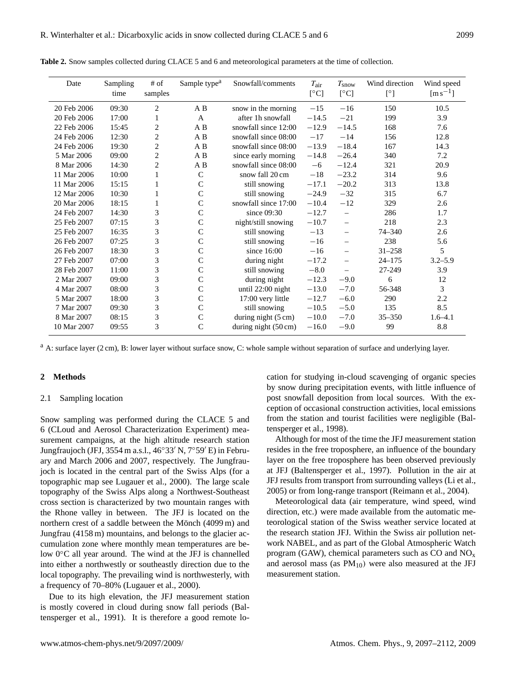| Date        | Sampling | $#$ of         | Sample type <sup>a</sup> | Snowfall/comments              | $T_{\rm air}$ | $T_{\mathrm{snow}}$      | Wind direction | Wind speed        |
|-------------|----------|----------------|--------------------------|--------------------------------|---------------|--------------------------|----------------|-------------------|
|             | time     | samples        |                          |                                | [°C]          | [°C]                     | $[^{\circ}]$   | $\rm [m\,s^{-1}]$ |
| 20 Feb 2006 | 09:30    | $\overline{2}$ | A B                      | snow in the morning            | $-15$         | $-16$                    | 150            | 10.5              |
| 20 Feb 2006 | 17:00    | 1              | $\mathbf{A}$             | after 1h snowfall              | $-14.5$       | $-21$                    | 199            | 3.9               |
| 22 Feb 2006 | 15:45    | $\overline{2}$ | A B                      | snowfall since 12:00           | $-12.9$       | $-14.5$                  | 168            | 7.6               |
| 24 Feb 2006 | 12:30    | $\overline{2}$ | A B                      | snowfall since 08:00           | $-17$         | $-14$                    | 156            | 12.8              |
| 24 Feb 2006 | 19:30    | $\overline{2}$ | A B                      | snowfall since 08:00           | $-13.9$       | $-18.4$                  | 167            | 14.3              |
| 5 Mar 2006  | 09:00    | $\overline{c}$ | A B                      | since early morning            | $-14.8$       | $-26.4$                  | 340            | 7.2               |
| 8 Mar 2006  | 14:30    | $\overline{c}$ | A B                      | snowfall since 08:00           | $-6$          | $-12.4$                  | 321            | 20.9              |
| 11 Mar 2006 | 10:00    |                | $\mathsf{C}$             | snow fall 20 cm                | $-18$         | $-23.2$                  | 314            | 9.6               |
| 11 Mar 2006 | 15:15    |                | $\mathcal{C}$            | still snowing                  | $-17.1$       | $-20.2$                  | 313            | 13.8              |
| 12 Mar 2006 | 10:30    | 1              | $\mathsf{C}$             | still snowing                  | $-24.9$       | $-32$                    | 315            | 6.7               |
| 20 Mar 2006 | 18:15    | 1              | $\mathsf{C}$             | snowfall since 17:00           | $-10.4$       | $-12$                    | 329            | 2.6               |
| 24 Feb 2007 | 14:30    | 3              | $\mathsf{C}$             | since $09:30$                  | $-12.7$       | $\overline{\phantom{0}}$ | 286            | 1.7               |
| 25 Feb 2007 | 07:15    | 3              | $\mathsf{C}$             | night/still snowing            | $-10.7$       | $\equiv$                 | 218            | 2.3               |
| 25 Feb 2007 | 16:35    | 3              | $\mathsf{C}$             | still snowing                  | $-13$         | $\equiv$                 | $74 - 340$     | 2.6               |
| 26 Feb 2007 | 07:25    | 3              | $\mathcal{C}$            | still snowing                  | $-16$         | $\equiv$                 | 238            | 5.6               |
| 26 Feb 2007 | 18:30    | 3              | $\mathsf{C}$             | since $16:00$                  | $-16$         | $\overline{\phantom{0}}$ | $31 - 258$     | 5                 |
| 27 Feb 2007 | 07:00    | 3              | $\mathcal{C}$            | during night                   | $-17.2$       | $\equiv$                 | $24 - 175$     | $3.2 - 5.9$       |
| 28 Feb 2007 | 11:00    | 3              | $\mathcal{C}$            | still snowing                  | $-8.0$        |                          | 27-249         | 3.9               |
| 2 Mar 2007  | 09:00    | 3              | $\mathcal{C}$            | during night                   | $-12.3$       | $-9.0$                   | 6              | 12                |
| 4 Mar 2007  | 08:00    | 3              | $\mathsf{C}$             | until 22:00 night              | $-13.0$       | $-7.0$                   | 56-348         | 3                 |
| 5 Mar 2007  | 18:00    | 3              | $\mathcal{C}$            | 17:00 very little              | $-12.7$       | $-6.0$                   | 290            | 2.2               |
| 7 Mar 2007  | 09:30    | 3              | $\mathcal{C}$            | still snowing                  | $-10.5$       | $-5.0$                   | 135            | 8.5               |
| 8 Mar 2007  | 08:15    | 3              | $\mathsf{C}$             | during night (5 cm)            | $-10.0$       | $-7.0$                   | $35 - 350$     | $1.6 - 4.1$       |
| 10 Mar 2007 | 09:55    | 3              | $\mathsf{C}$             | during night $(50 \text{ cm})$ | $-16.0$       | $-9.0$                   | 99             | 8.8               |

**Table 2.** Snow samples collected during CLACE 5 and 6 and meteorological parameters at the time of collection.

<sup>a</sup> A: surface layer (2 cm), B: lower layer without surface snow, C: whole sample without separation of surface and underlying layer.

## **2 Methods**

#### 2.1 Sampling location

Snow sampling was performed during the CLACE 5 and 6 (CLoud and Aerosol Characterization Experiment) measurement campaigns, at the high altitude research station Jungfraujoch (JFJ, 3554 m a.s.l., 46°33′ N, 7°59′ E) in February and March 2006 and 2007, respectively. The Jungfraujoch is located in the central part of the Swiss Alps (for a topographic map see Lugauer et al., 2000). The large scale topography of the Swiss Alps along a Northwest-Southeast cross section is characterized by two mountain ranges with the Rhone valley in between. The JFJ is located on the northern crest of a saddle between the Mönch (4099 m) and Jungfrau (4158 m) mountains, and belongs to the glacier accumulation zone where monthly mean temperatures are below 0◦C all year around. The wind at the JFJ is channelled into either a northwestly or southeastly direction due to the local topography. The prevailing wind is northwesterly, with a frequency of 70–80% (Lugauer et al., 2000).

Due to its high elevation, the JFJ measurement station is mostly covered in cloud during snow fall periods (Baltensperger et al., 1991). It is therefore a good remote location for studying in-cloud scavenging of organic species by snow during precipitation events, with little influence of post snowfall deposition from local sources. With the exception of occasional construction activities, local emissions from the station and tourist facilities were negligible (Baltensperger et al., 1998).

Although for most of the time the JFJ measurement station resides in the free troposphere, an influence of the boundary layer on the free troposphere has been observed previously at JFJ (Baltensperger et al., 1997). Pollution in the air at JFJ results from transport from surrounding valleys (Li et al., 2005) or from long-range transport (Reimann et al., 2004).

Meteorological data (air temperature, wind speed, wind direction, etc.) were made available from the automatic meteorological station of the Swiss weather service located at the research station JFJ. Within the Swiss air pollution network NABEL, and as part of the Global Atmospheric Watch program (GAW), chemical parameters such as  $CO$  and  $NO<sub>x</sub>$ and aerosol mass (as  $PM_{10}$ ) were also measured at the JFJ measurement station.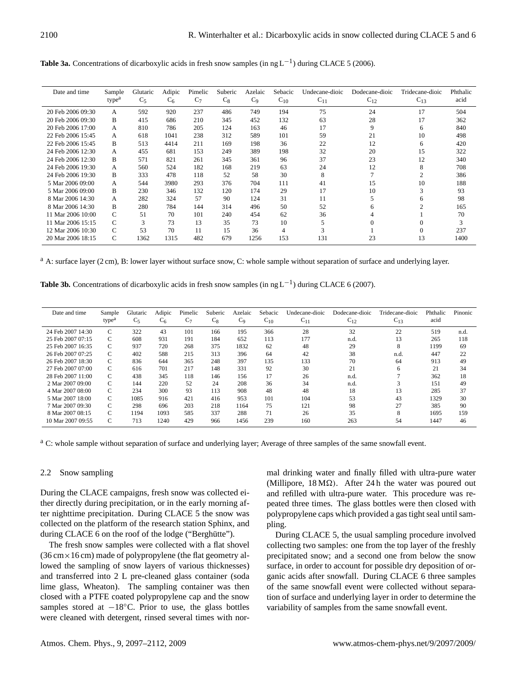| <b>Table 3a.</b> Concentrations of dicarboxylic acids in fresh snow samples (in ng $L^{-1}$ ) during CLACE 5 (2006). |  |
|----------------------------------------------------------------------------------------------------------------------|--|
|----------------------------------------------------------------------------------------------------------------------|--|

| Date and time     | Sample            | Glutaric | Adipic | Pimelic        | Suberic | Azelaic        | Sebacic        | Undecane-dioic | Dodecane-dioic | Tridecane-dioic | Phthalic |
|-------------------|-------------------|----------|--------|----------------|---------|----------------|----------------|----------------|----------------|-----------------|----------|
|                   | type <sup>a</sup> | $C_5$    | $C_6$  | C <sub>7</sub> | $C_8$   | C <sub>9</sub> | $C_{10}$       | $C_{11}$       | $C_{12}$       | $C_{13}$        | acid     |
| 20 Feb 2006 09:30 | A                 | 592      | 920    | 237            | 486     | 749            | 194            | 75             | 24             | 17              | 504      |
| 20 Feb 2006 09:30 | B                 | 415      | 686    | 210            | 345     | 452            | 132            | 63             | 28             | 17              | 362      |
| 20 Feb 2006 17:00 | A                 | 810      | 786    | 205            | 124     | 163            | 46             | 17             | 9              | 6               | 840      |
| 22 Feb 2006 15:45 | A                 | 618      | 1041   | 238            | 312     | 589            | 101            | 59             | 21             | 10              | 498      |
| 22 Feb 2006 15:45 | B                 | 513      | 4414   | 211            | 169     | 198            | 36             | 22             | 12             | 6               | 420      |
| 24 Feb 2006 12:30 | A                 | 455      | 681    | 153            | 249     | 389            | 198            | 32             | 20             | 15              | 322      |
| 24 Feb 2006 12:30 | B                 | 571      | 821    | 261            | 345     | 361            | 96             | 37             | 23             | 12              | 340      |
| 24 Feb 2006 19:30 | A                 | 560      | 524    | 182            | 168     | 219            | 63             | 24             | 12             | 8               | 708      |
| 24 Feb 2006 19:30 | B                 | 333      | 478    | 118            | 52      | 58             | 30             | 8              |                | $\overline{c}$  | 386      |
| 5 Mar 2006 09:00  | A                 | 544      | 3980   | 293            | 376     | 704            | 111            | 41             | 15             | 10              | 188      |
| 5 Mar 2006 09:00  | B                 | 230      | 346    | 132            | 120     | 174            | 29             | 17             | 10             | 3               | 93       |
| 8 Mar 2006 14:30  | A                 | 282      | 324    | 57             | 90      | 124            | 31             | 11             |                | 6               | 98       |
| 8 Mar 2006 14:30  | B                 | 280      | 784    | 144            | 314     | 496            | 50             | 52             | 6              | $\mathfrak{D}$  | 165      |
| 11 Mar 2006 10:00 | C                 | 51       | 70     | 101            | 240     | 454            | 62             | 36             |                |                 | 70       |
| 11 Mar 2006 15:15 | $\mathsf{C}$      | 3        | 73     | 13             | 35      | 73             | 10             | 5              |                |                 | 3        |
| 12 Mar 2006 10:30 | C                 | 53       | 70     | 11             | 15      | 36             | $\overline{4}$ | 3              |                | $\Omega$        | 237      |
| 20 Mar 2006 18:15 | C                 | 1362     | 1315   | 482            | 679     | 1256           | 153            | 131            | 23             | 13              | 1400     |

<sup>a</sup> A: surface layer (2 cm), B: lower layer without surface snow, C: whole sample without separation of surface and underlying layer.

Table 3b. Concentrations of dicarboxylic acids in fresh snow samples (in ng L<sup>-1</sup>) during CLACE 6 (2007).

| Date and time     | Sample            | Glutaric | Adipic | Pimelic | Suberic | Azelaic | Sebacic  | Undecane-dioic    | Dodecane-dioic | Tridecane-dioic | Phthalic | Pinonic |
|-------------------|-------------------|----------|--------|---------|---------|---------|----------|-------------------|----------------|-----------------|----------|---------|
|                   | type <sup>a</sup> | $C_5$    | $C_6$  | $C_7$   | $C_8$   | $C_9$   | $C_{10}$ | $\mathrm{C}_{11}$ | $C_{12}$       | $C_{13}$        | acid     |         |
| 24 Feb 2007 14:30 | C                 | 322      | 43     | 101     | 166     | 195     | 366      | 28                | 32             | 22              | 519      | n.d.    |
| 25 Feb 2007 07:15 | C                 | 608      | 931    | 191     | 184     | 652     | 113      | 177               | n.d.           | 13              | 265      | 118     |
| 25 Feb 2007 16:35 | C                 | 937      | 720    | 268     | 375     | 1832    | 62       | 48                | 29             | 8               | 1199     | 69      |
| 26 Feb 2007 07:25 | C                 | 402      | 588    | 215     | 313     | 396     | 64       | 42                | 38             | n.d.            | 447      | 22      |
| 26 Feb 2007 18:30 | C                 | 836      | 644    | 365     | 248     | 397     | 135      | 133               | 70             | 64              | 913      | 49      |
| 27 Feb 2007 07:00 | C                 | 616      | 701    | 217     | 148     | 331     | 92       | 30                | 21             | 6               | 21       | 34      |
| 28 Feb 2007 11:00 | $\mathcal{C}$     | 438      | 345    | 118     | 146     | 156     | 17       | 26                | n.d.           |                 | 362      | 18      |
| 2 Mar 2007 09:00  | C                 | 144      | 220    | 52      | 24      | 208     | 36       | 34                | n.d.           |                 | 151      | 49      |
| 4 Mar 2007 08:00  | C                 | 234      | 300    | 93      | 113     | 908     | 48       | 48                | 18             | 13              | 285      | 37      |
| 5 Mar 2007 18:00  | C                 | 1085     | 916    | 421     | 416     | 953     | 101      | 104               | 53             | 43              | 1329     | 30      |
| 7 Mar 2007 09:30  | C                 | 298      | 696    | 203     | 218     | 1164    | 75       | 121               | 98             | 27              | 385      | 90      |
| 8 Mar 2007 08:15  | C                 | 1194     | 1093   | 585     | 337     | 288     | 71       | 26                | 35             | 8               | 1695     | 159     |
| 10 Mar 2007 09:55 | C                 | 713      | 1240   | 429     | 966     | 1456    | 239      | 160               | 263            | 54              | 1447     | 46      |

<sup>a</sup> C: whole sample without separation of surface and underlying layer; Average of three samples of the same snowfall event.

## 2.2 Snow sampling

During the CLACE campaigns, fresh snow was collected either directly during precipitation, or in the early morning after nighttime precipitation. During CLACE 5 the snow was collected on the platform of the research station Sphinx, and during CLACE 6 on the roof of the lodge ("Berghütte").

The fresh snow samples were collected with a flat shovel  $(36 \text{ cm} \times 16 \text{ cm})$  made of polypropylene (the flat geometry allowed the sampling of snow layers of various thicknesses) and transferred into 2 L pre-cleaned glass container (soda lime glass, Wheaton). The sampling container was then closed with a PTFE coated polypropylene cap and the snow samples stored at  $-18°C$ . Prior to use, the glass bottles were cleaned with detergent, rinsed several times with nor-

mal drinking water and finally filled with ultra-pure water (Millipore,  $18 \text{ M}\Omega$ ). After 24 h the water was poured out and refilled with ultra-pure water. This procedure was repeated three times. The glass bottles were then closed with polypropylene caps which provided a gas tight seal until sampling.

During CLACE 5, the usual sampling procedure involved collecting two samples: one from the top layer of the freshly precipitated snow; and a second one from below the snow surface, in order to account for possible dry deposition of organic acids after snowfall. During CLACE 6 three samples of the same snowfall event were collected without separation of surface and underlying layer in order to determine the variability of samples from the same snowfall event.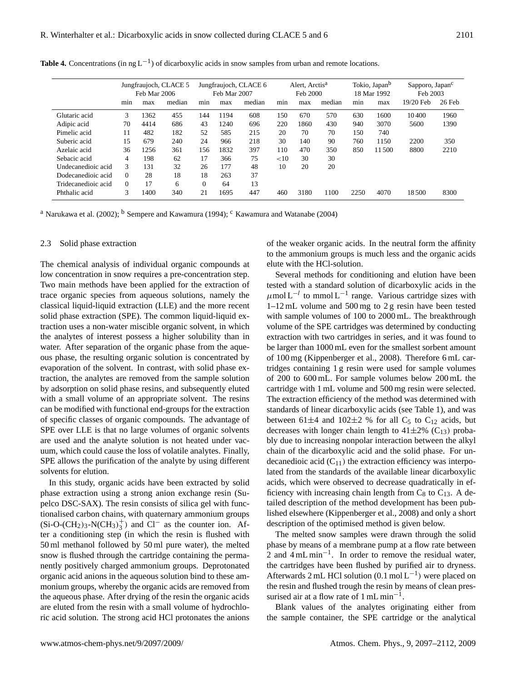|                     | Jungfraujoch, CLACE 5<br>Feb Mar 2006 |      | Jungfraujoch, CLACE 6<br>Feb Mar 2007 |          | Alert, Arctis <sup>a</sup><br>Feb 2000 |        |     | Tokio, Japan <sup>b</sup><br>18 Mar 1992 |        | Sapporo, Japan <sup>c</sup><br>Feb 2003 |       |           |          |
|---------------------|---------------------------------------|------|---------------------------------------|----------|----------------------------------------|--------|-----|------------------------------------------|--------|-----------------------------------------|-------|-----------|----------|
|                     | min                                   | max  | median                                | min      | max                                    | median | min | max                                      | median | min                                     | max   | 19/20 Feb | $26$ Feb |
| Glutaric acid       | 3                                     | 1362 | 455                                   | 144      | 1194                                   | 608    | 150 | 670                                      | 570    | 630                                     | 1600  | 10400     | 1960     |
| Adipic acid         | 70                                    | 4414 | 686                                   | 43       | 1240                                   | 696    | 220 | 1860                                     | 430    | 940                                     | 3070  | 5600      | 1390     |
| Pimelic acid        | 11                                    | 482  | 182                                   | 52       | 585                                    | 215    | 20  | 70                                       | 70     | 150                                     | 740   |           |          |
| Suberic acid        | 15                                    | 679  | 240                                   | 24       | 966                                    | 218    | 30  | 140                                      | 90     | 760                                     | 1150  | 2200      | 350      |
| Azelaic acid        | 36                                    | 1256 | 361                                   | 156      | 1832                                   | 397    | 110 | 470                                      | 350    | 850                                     | 11500 | 8800      | 2210     |
| Sebacic acid        | 4                                     | 198  | 62                                    | 17       | 366                                    | 75     | <10 | 30                                       | 30     |                                         |       |           |          |
| Undecanedioic acid  | 3                                     | 131  | 32                                    | 26       | 177                                    | 48     | 10  | 20                                       | 20     |                                         |       |           |          |
| Dodecanedioic acid  | $\Omega$                              | 28   | 18                                    | 18       | 263                                    | 37     |     |                                          |        |                                         |       |           |          |
| Tridecanedioic acid | $\Omega$                              | 17   | 6                                     | $\Omega$ | 64                                     | 13     |     |                                          |        |                                         |       |           |          |
| Phthalic acid       | 3                                     | 1400 | 340                                   | 21       | 1695                                   | 447    | 460 | 3180                                     | 1100   | 2250                                    | 4070  | 18500     | 8300     |

Table 4. Concentrations (in ng L<sup>-1</sup>) of dicarboxylic acids in snow samples from urban and remote locations.

<sup>a</sup> Narukawa et al. (2002); <sup>b</sup> Sempere and Kawamura (1994); <sup>c</sup> Kawamura and Watanabe (2004)

#### 2.3 Solid phase extraction

The chemical analysis of individual organic compounds at low concentration in snow requires a pre-concentration step. Two main methods have been applied for the extraction of trace organic species from aqueous solutions, namely the classical liquid-liquid extraction (LLE) and the more recent solid phase extraction (SPE). The common liquid-liquid extraction uses a non-water miscible organic solvent, in which the analytes of interest possess a higher solubility than in water. After separation of the organic phase from the aqueous phase, the resulting organic solution is concentrated by evaporation of the solvent. In contrast, with solid phase extraction, the analytes are removed from the sample solution by adsorption on solid phase resins, and subsequently eluted with a small volume of an appropriate solvent. The resins can be modified with functional end-groups for the extraction of specific classes of organic compounds. The advantage of SPE over LLE is that no large volumes of organic solvents are used and the analyte solution is not heated under vacuum, which could cause the loss of volatile analytes. Finally, SPE allows the purification of the analyte by using different solvents for elution.

In this study, organic acids have been extracted by solid phase extraction using a strong anion exchange resin (Supelco DSC-SAX). The resin consists of silica gel with functionalised carbon chains, with quaternary ammonium groups  $(Si-O-(CH<sub>2</sub>)<sub>3</sub>-N(CH<sub>3</sub>)<sup>+</sup><sub>3</sub>$  $\frac{1}{3}$ ) and Cl<sup>−</sup> as the counter ion. After a conditioning step (in which the resin is flushed with 50 ml methanol followed by 50 ml pure water), the melted snow is flushed through the cartridge containing the permanently positively charged ammonium groups. Deprotonated organic acid anions in the aqueous solution bind to these ammonium groups, whereby the organic acids are removed from the aqueous phase. After drying of the resin the organic acids are eluted from the resin with a small volume of hydrochloric acid solution. The strong acid HCl protonates the anions of the weaker organic acids. In the neutral form the affinity to the ammonium groups is much less and the organic acids elute with the HCl-solution.

Several methods for conditioning and elution have been tested with a standard solution of dicarboxylic acids in the  $\mu$ mol L<sup>-l</sup> to mmol L<sup>-1</sup> range. Various cartridge sizes with 1–12 mL volume and 500 mg to 2 g resin have been tested with sample volumes of 100 to 2000 mL. The breakthrough volume of the SPE cartridges was determined by conducting extraction with two cartridges in series, and it was found to be larger than 1000 mL even for the smallest sorbent amount of 100 mg (Kippenberger et al., 2008). Therefore 6 mL cartridges containing 1 g resin were used for sample volumes of 200 to 600 mL. For sample volumes below 200 mL the cartridge with 1 mL volume and 500 mg resin were selected. The extraction efficiency of the method was determined with standards of linear dicarboxylic acids (see Table 1), and was between 61 $\pm$ 4 and 102 $\pm$ 2 % for all C<sub>5</sub> to C<sub>12</sub> acids, but decreases with longer chain length to  $41\pm2\%$  (C<sub>13</sub>) probably due to increasing nonpolar interaction between the alkyl chain of the dicarboxylic acid and the solid phase. For undecanedioic acid  $(C_{11})$  the extraction efficiency was interpolated from the standards of the available linear dicarboxylic acids, which were observed to decrease quadratically in efficiency with increasing chain length from  $C_8$  to  $C_{13}$ . A detailed description of the method development has been published elsewhere (Kippenberger et al., 2008) and only a short description of the optimised method is given below.

The melted snow samples were drawn through the solid phase by means of a membrane pump at a flow rate between 2 and 4 mL min−<sup>1</sup> . In order to remove the residual water, the cartridges have been flushed by purified air to dryness. Afterwards 2 mL HCl solution (0.1 mol L−<sup>1</sup> ) were placed on the resin and flushed trough the resin by means of clean pressurised air at a flow rate of  $1 \text{ mL min}^{-1}$ .

Blank values of the analytes originating either from the sample container, the SPE cartridge or the analytical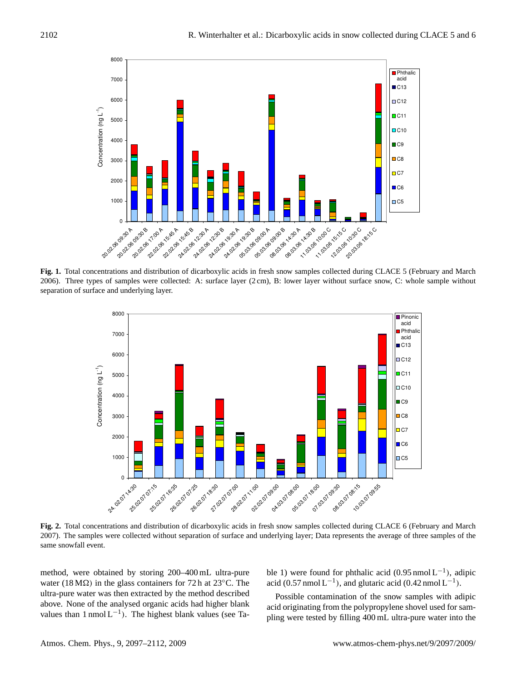

**Fig. 1.** Total concentrations and distribution of dicarboxylic acids in fresh snow samples collected during CLACE 5 (February and March 2006). Three types of samples were collected: A: surface layer (2 cm), B: lower layer without surface snow, C: whole sample without separation of surface and underlying layer.



**Fig. 2.** Total concentrations and distribution of dicarboxylic acids in fresh snow samples collected during CLACE 6 (February and March 2007). The samples were collected without separation of surface and underlying layer; Data represents the average of three samples of the same snowfall event.

method, were obtained by storing 200–400 mL ultra-pure water (18 M $\Omega$ ) in the glass containers for 72 h at 23 $\rm{^{\circ}C}$ . The ultra-pure water was then extracted by the method described above. None of the analysed organic acids had higher blank values than 1 nmol  $L^{-1}$ ). The highest blank values (see Table 1) were found for phthalic acid  $(0.95 \text{ nmol L}^{-1})$ , adipic acid (0.57 nmol L<sup>-1</sup>), and glutaric acid (0.42 nmol L<sup>-1</sup>).

Possible contamination of the snow samples with adipic acid originating from the polypropylene shovel used for sampling were tested by filling 400 mL ultra-pure water into the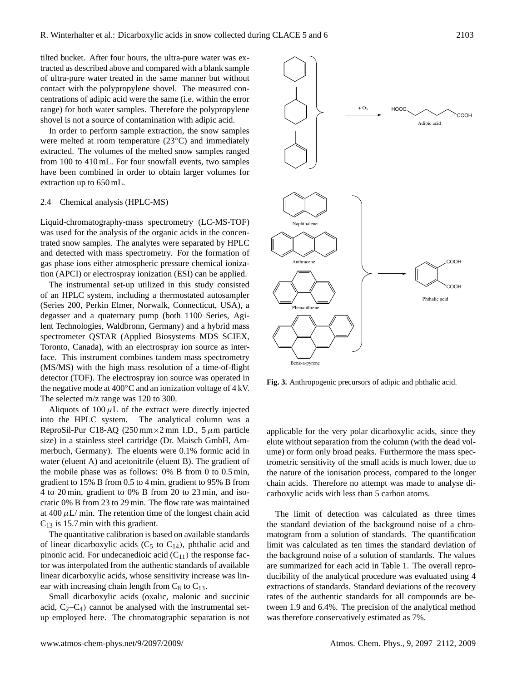tilted bucket. After four hours, the ultra-pure water was extracted as described above and compared with a blank sample of ultra-pure water treated in the same manner but without contact with the polypropylene shovel. The measured concentrations of adipic acid were the same (i.e. within the error range) for both water samples. Therefore the polypropylene shovel is not a source of contamination with adipic acid.

In order to perform sample extraction, the snow samples were melted at room temperature (23◦C) and immediately extracted. The volumes of the melted snow samples ranged from 100 to 410 mL. For four snowfall events, two samples have been combined in order to obtain larger volumes for extraction up to 650 mL.

### 2.4 Chemical analysis (HPLC-MS)

Liquid-chromatography-mass spectrometry (LC-MS-TOF) was used for the analysis of the organic acids in the concentrated snow samples. The analytes were separated by HPLC and detected with mass spectrometry. For the formation of gas phase ions either atmospheric pressure chemical ionization (APCI) or electrospray ionization (ESI) can be applied.

The instrumental set-up utilized in this study consisted of an HPLC system, including a thermostated autosampler (Series 200, Perkin Elmer, Norwalk, Connecticut, USA), a degasser and a quaternary pump (both 1100 Series, Agilent Technologies, Waldbronn, Germany) and a hybrid mass spectrometer QSTAR (Applied Biosystems MDS SCIEX, Toronto, Canada), with an electrospray ion source as interface. This instrument combines tandem mass spectrometry (MS/MS) with the high mass resolution of a time-of-flight detector (TOF). The electrospray ion source was operated in the negative mode at  $400^{\circ}$ C and an ionization voltage of  $4 \text{ kV}$ . The selected m/z range was 120 to 300.

Aliquots of  $100 \mu L$  of the extract were directly injected into the HPLC system. The analytical column was a ReproSil-Pur C18-AQ (250 mm  $\times$ 2 mm I.D., 5  $\mu$ m particle size) in a stainless steel cartridge (Dr. Maisch GmbH, Ammerbuch, Germany). The eluents were 0.1% formic acid in water (eluent A) and acetonitrile (eluent B). The gradient of the mobile phase was as follows: 0% B from 0 to 0.5 min, gradient to 15% B from 0.5 to 4 min, gradient to 95% B from 4 to 20 min, gradient to 0% B from 20 to 23 min, and isocratic 0% B from 23 to 29 min. The flow rate was maintained at  $400 \mu L/m$ in. The retention time of the longest chain acid  $C_{13}$  is 15.7 min with this gradient.

The quantitative calibration is based on available standards of linear dicarboxylic acids ( $C_5$  to  $C_{14}$ ), phthalic acid and pinonic acid. For undecanedioic acid  $(C_{11})$  the response factor was interpolated from the authentic standards of available linear dicarboxylic acids, whose sensitivity increase was linear with increasing chain length from  $C_8$  to  $C_{13}$ .

Small dicarboxylic acids (oxalic, malonic and succinic acid,  $C_2-C_4$ ) cannot be analysed with the instrumental setup employed here. The chromatographic separation is not



**Fig. 3.** Anthropogenic precursors of adipic and phthalic acid.

applicable for the very polar dicarboxylic acids, since they elute without separation from the column (with the dead volume) or form only broad peaks. Furthermore the mass spectrometric sensitivity of the small acids is much lower, due to the nature of the ionisation process, compared to the longer chain acids. Therefore no attempt was made to analyse dicarboxylic acids with less than 5 carbon atoms.

The limit of detection was calculated as three times the standard deviation of the background noise of a chromatogram from a solution of standards. The quantification limit was calculated as ten times the standard deviation of the background noise of a solution of standards. The values are summarized for each acid in Table 1. The overall reproducibility of the analytical procedure was evaluated using 4 extractions of standards. Standard deviations of the recovery rates of the authentic standards for all compounds are between 1.9 and 6.4%. The precision of the analytical method was therefore conservatively estimated as 7%.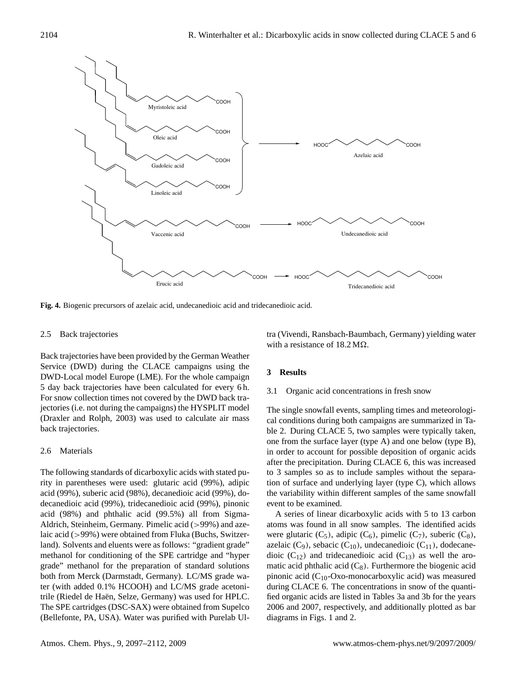

**Fig. 4.** Biogenic precursors of azelaic acid, undecanedioic acid and tridecanedioic acid.

#### 2.5 Back trajectories

Back trajectories have been provided by the German Weather Service (DWD) during the CLACE campaigns using the DWD-Local model Europe (LME). For the whole campaign 5 day back trajectories have been calculated for every 6 h. For snow collection times not covered by the DWD back trajectories (i.e. not during the campaigns) the HYSPLIT model (Draxler and Rolph, 2003) was used to calculate air mass back trajectories.

#### 2.6 Materials

The following standards of dicarboxylic acids with stated purity in parentheses were used: glutaric acid (99%), adipic acid (99%), suberic acid (98%), decanedioic acid (99%), dodecanedioic acid (99%), tridecanedioic acid (99%), pinonic acid (98%) and phthalic acid (99.5%) all from Sigma-Aldrich, Steinheim, Germany. Pimelic acid (>99%) and azelaic acid (>99%) were obtained from Fluka (Buchs, Switzerland). Solvents and eluents were as follows: "gradient grade" methanol for conditioning of the SPE cartridge and "hyper grade" methanol for the preparation of standard solutions both from Merck (Darmstadt, Germany). LC/MS grade water (with added 0.1% HCOOH) and LC/MS grade acetonitrile (Riedel de Haën, Selze, Germany) was used for HPLC. The SPE cartridges (DSC-SAX) were obtained from Supelco (Bellefonte, PA, USA). Water was purified with Purelab Ultra (Vivendi, Ransbach-Baumbach, Germany) yielding water with a resistance of  $18.2 \text{ M}\Omega$ .

# **3 Results**

#### 3.1 Organic acid concentrations in fresh snow

The single snowfall events, sampling times and meteorological conditions during both campaigns are summarized in Table 2. During CLACE 5, two samples were typically taken, one from the surface layer (type A) and one below (type B), in order to account for possible deposition of organic acids after the precipitation. During CLACE 6, this was increased to 3 samples so as to include samples without the separation of surface and underlying layer (type C), which allows the variability within different samples of the same snowfall event to be examined.

A series of linear dicarboxylic acids with 5 to 13 carbon atoms was found in all snow samples. The identified acids were glutaric  $(C_5)$ , adipic  $(C_6)$ , pimelic  $(C_7)$ , suberic  $(C_8)$ , azelaic (C<sub>9</sub>), sebacic (C<sub>10</sub>), undecanedioic (C<sub>11</sub>), dodecanedioic  $(C_{12})$  and tridecanedioic acid  $(C_{13})$  as well the aromatic acid phthalic acid  $(C_8)$ . Furthermore the biogenic acid pinonic acid  $(C_{10}$ -Oxo-monocarboxylic acid) was measured during CLACE 6. The concentrations in snow of the quantified organic acids are listed in Tables 3a and 3b for the years 2006 and 2007, respectively, and additionally plotted as bar diagrams in Figs. 1 and 2.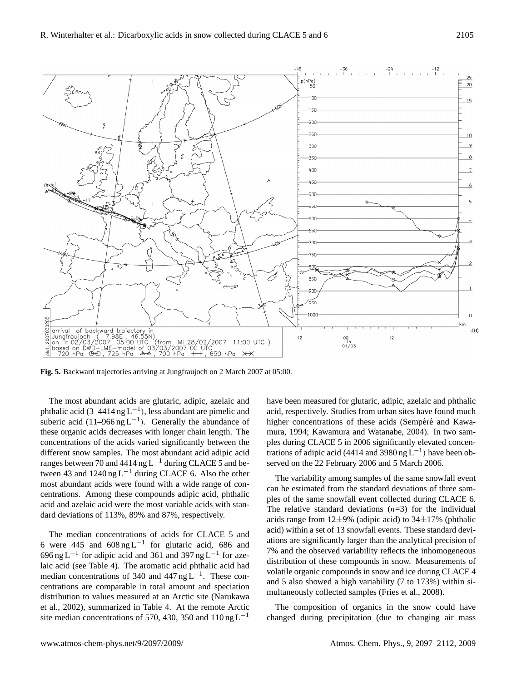

**Fig. 5.** Backward trajectories arriving at Jungfraujoch on 2 March 2007 at 05:00.

The most abundant acids are glutaric, adipic, azelaic and phthalic acid (3–4414 ng L<sup>-1</sup>), less abundant are pimelic and suberic acid (11–966 ng L<sup>-1</sup>). Generally the abundance of these organic acids decreases with longer chain length. The concentrations of the acids varied significantly between the different snow samples. The most abundant acid adipic acid ranges between 70 and 4414 ng  $L^{-1}$  during CLACE 5 and between 43 and  $1240$  ng L<sup>-1</sup> during CLACE 6. Also the other most abundant acids were found with a wide range of concentrations. Among these compounds adipic acid, phthalic acid and azelaic acid were the most variable acids with standard deviations of 113%, 89% and 87%, respectively.

The median concentrations of acids for CLACE 5 and 6 were 445 and  $608 \text{ ng L}^{-1}$  for glutaric acid, 686 and 696 ng L−<sup>1</sup> for adipic acid and 361 and 397 ng L−<sup>1</sup> for azelaic acid (see Table 4). The aromatic acid phthalic acid had median concentrations of 340 and 447 ng  $L^{-1}$ . These concentrations are comparable in total amount and speciation distribution to values measured at an Arctic site (Narukawa et al., 2002), summarized in Table 4. At the remote Arctic site median concentrations of 570, 430, 350 and 110 ng L<sup>-1</sup>

have been measured for glutaric, adipic, azelaic and phthalic acid, respectively. Studies from urban sites have found much higher concentrations of these acids (Sempéré and Kawamura, 1994; Kawamura and Watanabe, 2004). In two samples during CLACE 5 in 2006 significantly elevated concentrations of adipic acid (4414 and 3980 ng  $L^{-1}$ ) have been observed on the 22 February 2006 and 5 March 2006.

The variability among samples of the same snowfall event can be estimated from the standard deviations of three samples of the same snowfall event collected during CLACE 6. The relative standard deviations  $(n=3)$  for the individual acids range from  $12\pm9\%$  (adipic acid) to  $34\pm17\%$  (phthalic acid) within a set of 13 snowfall events. These standard deviations are significantly larger than the analytical precision of 7% and the observed variability reflects the inhomogeneous distribution of these compounds in snow. Measurements of volatile organic compounds in snow and ice during CLACE 4 and 5 also showed a high variability (7 to 173%) within simultaneously collected samples (Fries et al., 2008).

The composition of organics in the snow could have changed during precipitation (due to changing air mass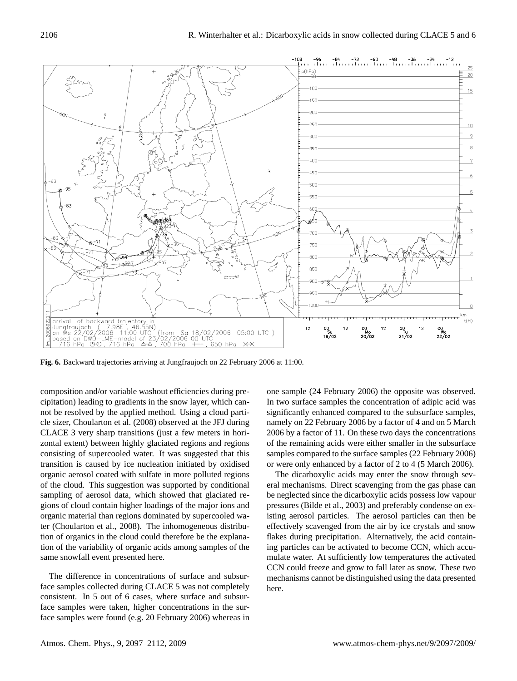

**Fig. 6.** Backward trajectories arriving at Jungfraujoch on 22 February 2006 at 11:00.

composition and/or variable washout efficiencies during precipitation) leading to gradients in the snow layer, which cannot be resolved by the applied method. Using a cloud particle sizer, Choularton et al. (2008) observed at the JFJ during CLACE 3 very sharp transitions (just a few meters in horizontal extent) between highly glaciated regions and regions consisting of supercooled water. It was suggested that this transition is caused by ice nucleation initiated by oxidised organic aerosol coated with sulfate in more polluted regions of the cloud. This suggestion was supported by conditional sampling of aerosol data, which showed that glaciated regions of cloud contain higher loadings of the major ions and organic material than regions dominated by supercooled water (Choularton et al., 2008). The inhomogeneous distribution of organics in the cloud could therefore be the explanation of the variability of organic acids among samples of the same snowfall event presented here.

The difference in concentrations of surface and subsurface samples collected during CLACE 5 was not completely consistent. In 5 out of 6 cases, where surface and subsurface samples were taken, higher concentrations in the surface samples were found (e.g. 20 February 2006) whereas in one sample (24 February 2006) the opposite was observed. In two surface samples the concentration of adipic acid was significantly enhanced compared to the subsurface samples, namely on 22 February 2006 by a factor of 4 and on 5 March 2006 by a factor of 11. On these two days the concentrations of the remaining acids were either smaller in the subsurface samples compared to the surface samples (22 February 2006) or were only enhanced by a factor of 2 to 4 (5 March 2006).

The dicarboxylic acids may enter the snow through several mechanisms. Direct scavenging from the gas phase can be neglected since the dicarboxylic acids possess low vapour pressures (Bilde et al., 2003) and preferably condense on existing aerosol particles. The aerosol particles can then be effectively scavenged from the air by ice crystals and snow flakes during precipitation. Alternatively, the acid containing particles can be activated to become CCN, which accumulate water. At sufficiently low temperatures the activated CCN could freeze and grow to fall later as snow. These two mechanisms cannot be distinguished using the data presented here.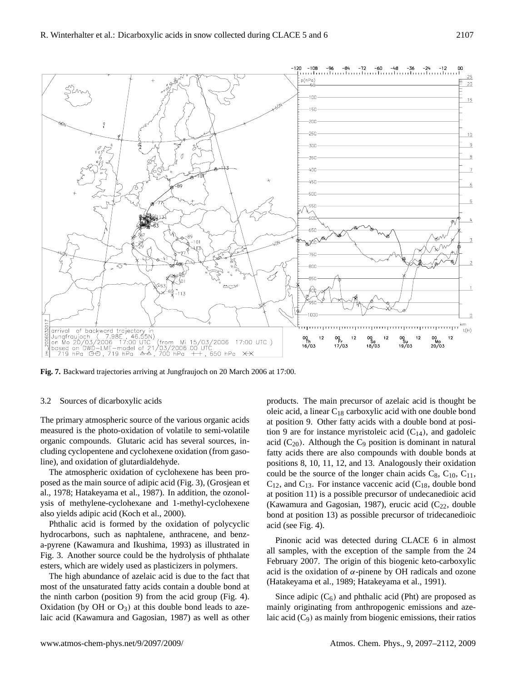

**Fig. 7.** Backward trajectories arriving at Jungfraujoch on 20 March 2006 at 17:00.

#### 3.2 Sources of dicarboxylic acids

The primary atmospheric source of the various organic acids measured is the photo-oxidation of volatile to semi-volatile organic compounds. Glutaric acid has several sources, including cyclopentene and cyclohexene oxidation (from gasoline), and oxidation of glutardialdehyde.

The atmospheric oxidation of cyclohexene has been proposed as the main source of adipic acid (Fig. 3), (Grosjean et al., 1978; Hatakeyama et al., 1987). In addition, the ozonolysis of methylene-cyclohexane and 1-methyl-cyclohexene also yields adipic acid (Koch et al., 2000).

Phthalic acid is formed by the oxidation of polycyclic hydrocarbons, such as naphtalene, anthracene, and benza-pyrene (Kawamura and Ikushima, 1993) as illustrated in Fig. 3. Another source could be the hydrolysis of phthalate esters, which are widely used as plasticizers in polymers.

The high abundance of azelaic acid is due to the fact that most of the unsaturated fatty acids contain a double bond at the ninth carbon (position 9) from the acid group (Fig. 4). Oxidation (by OH or  $O_3$ ) at this double bond leads to azelaic acid (Kawamura and Gagosian, 1987) as well as other products. The main precursor of azelaic acid is thought be oleic acid, a linear  $C_{18}$  carboxylic acid with one double bond at position 9. Other fatty acids with a double bond at position 9 are for instance myristoleic acid  $(C_{14})$ , and gadoleic acid  $(C_{20})$ . Although the  $C_9$  position is dominant in natural fatty acids there are also compounds with double bonds at positions 8, 10, 11, 12, and 13. Analogously their oxidation could be the source of the longer chain acids  $C_8$ ,  $C_{10}$ ,  $C_{11}$ ,  $C_{12}$ , and  $C_{13}$ . For instance vaccenic acid ( $C_{18}$ , double bond at position 11) is a possible precursor of undecanedioic acid (Kawamura and Gagosian, 1987), erucic acid  $(C_{22}$ , double bond at position 13) as possible precursor of tridecanedioic acid (see Fig. 4).

Pinonic acid was detected during CLACE 6 in almost all samples, with the exception of the sample from the 24 February 2007. The origin of this biogenic keto-carboxylic acid is the oxidation of  $\alpha$ -pinene by OH radicals and ozone (Hatakeyama et al., 1989; Hatakeyama et al., 1991).

Since adipic  $(C_6)$  and phthalic acid (Pht) are proposed as mainly originating from anthropogenic emissions and azelaic acid  $(C_9)$  as mainly from biogenic emissions, their ratios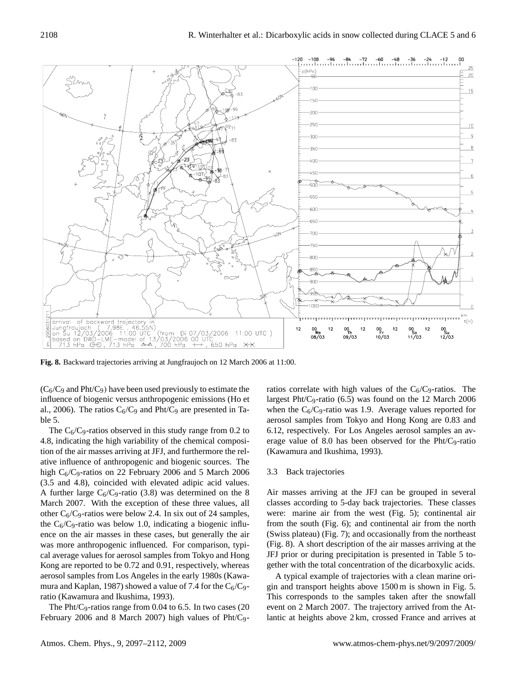

 $(C_6/C_9$  and Pht/C<sub>9</sub>) have been used previously to estimate the influence of biogenic versus anthropogenic emissions (Ho et al., 2006). The ratios  $C_6/C_9$  and Pht/C<sub>9</sub> are presented in Table 5.

The  $C_6/C_9$ -ratios observed in this study range from 0.2 to 4.8, indicating the high variability of the chemical composition of the air masses arriving at JFJ, and furthermore the relative influence of anthropogenic and biogenic sources. The high  $C_6/C_9$ -ratios on 22 February 2006 and 5 March 2006 (3.5 and 4.8), coincided with elevated adipic acid values. A further large  $C_6/C_9$ -ratio (3.8) was determined on the 8 March 2007. With the exception of these three values, all other  $C_6/C_9$ -ratios were below 2.4. In six out of 24 samples, the  $C_6/C_9$ -ratio was below 1.0, indicating a biogenic influence on the air masses in these cases, but generally the air was more anthropogenic influenced. For comparison, typical average values for aerosol samples from Tokyo and Hong Kong are reported to be 0.72 and 0.91, respectively, whereas aerosol samples from Los Angeles in the early 1980s (Kawamura and Kaplan, 1987) showed a value of 7.4 for the  $C_6/C_9$ ratio (Kawamura and Ikushima, 1993).

The Pht/C<sub>9</sub>-ratios range from 0.04 to 6.5. In two cases  $(20)$ February 2006 and 8 March 2007) high values of Pht/C9ratios correlate with high values of the  $C_6/C_9$ -ratios. The largest Pht/C<sub>9</sub>-ratio  $(6.5)$  was found on the 12 March 2006 when the  $C_6/C_9$ -ratio was 1.9. Average values reported for aerosol samples from Tokyo and Hong Kong are 0.83 and 6.12, respectively. For Los Angeles aerosol samples an average value of 8.0 has been observed for the Pht/C9-ratio (Kawamura and Ikushima, 1993).

## 3.3 Back trajectories

Air masses arriving at the JFJ can be grouped in several classes according to 5-day back trajectories. These classes were: marine air from the west (Fig. 5); continental air from the south (Fig. 6); and continental air from the north (Swiss plateau) (Fig. 7); and occasionally from the northeast (Fig. 8). A short description of the air masses arriving at the JFJ prior or during precipitation is presented in Table 5 together with the total concentration of the dicarboxylic acids.

A typical example of trajectories with a clean marine origin and transport heights above 1500 m is shown in Fig. 5. This corresponds to the samples taken after the snowfall event on 2 March 2007. The trajectory arrived from the Atlantic at heights above 2 km, crossed France and arrives at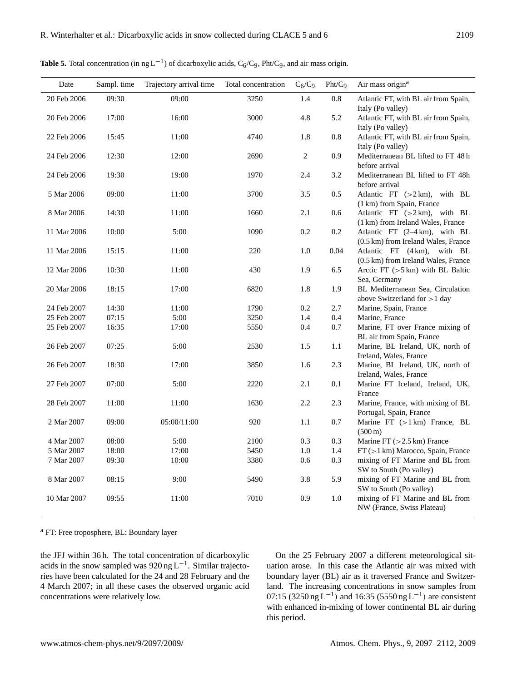| Date        | Sampl. time | Trajectory arrival time | Total concentration | $C_6/C_9$ | Pht/C <sub>9</sub> | Air mass origin <sup>a</sup>                                                      |
|-------------|-------------|-------------------------|---------------------|-----------|--------------------|-----------------------------------------------------------------------------------|
| 20 Feb 2006 | 09:30       | 09:00                   | 3250                | 1.4       | 0.8                | Atlantic FT, with BL air from Spain,<br>Italy (Po valley)                         |
| 20 Feb 2006 | 17:00       | 16:00                   | 3000                | 4.8       | 5.2                | Atlantic FT, with BL air from Spain,<br>Italy (Po valley)                         |
| 22 Feb 2006 | 15:45       | 11:00                   | 4740                | 1.8       | 0.8                | Atlantic FT, with BL air from Spain,                                              |
| 24 Feb 2006 | 12:30       | 12:00                   | 2690                | 2         | 0.9                | Italy (Po valley)<br>Mediterranean BL lifted to FT 48h                            |
| 24 Feb 2006 | 19:30       | 19:00                   | 1970                | 2.4       | 3.2                | before arrival<br>Mediterranean BL lifted to FT 48h                               |
| 5 Mar 2006  | 09:00       | 11:00                   | 3700                | 3.5       | 0.5                | before arrival<br>Atlantic FT $(>2 \text{ km})$ , with BL                         |
| 8 Mar 2006  | 14:30       | 11:00                   | 1660                | 2.1       | 0.6                | (1 km) from Spain, France<br>Atlantic FT $(>2 \text{ km})$ , with BL              |
| 11 Mar 2006 | 10:00       | 5:00                    | 1090                | 0.2       | 0.2                | (1 km) from Ireland Wales, France<br>Atlantic FT (2-4 km), with BL                |
| 11 Mar 2006 | 15:15       | 11:00                   | 220                 | 1.0       | 0.04               | (0.5 km) from Ireland Wales, France<br>Atlantic FT (4 km),<br>with BL             |
| 12 Mar 2006 | 10:30       | 11:00                   | 430                 | 1.9       | 6.5                | (0.5 km) from Ireland Wales, France<br>Arctic FT $(>5 \text{ km})$ with BL Baltic |
| 20 Mar 2006 | 18:15       | 17:00                   | 6820                | 1.8       | 1.9                | Sea, Germany<br>BL Mediterranean Sea, Circulation                                 |
| 24 Feb 2007 | 14:30       | 11:00                   | 1790                | 0.2       | 2.7                | above Switzerland for $>1$ day<br>Marine, Spain, France                           |
| 25 Feb 2007 | 07:15       | 5:00                    | 3250                | 1.4       | 0.4                | Marine, France                                                                    |
| 25 Feb 2007 | 16:35       | 17:00                   | 5550                | 0.4       | 0.7                | Marine, FT over France mixing of                                                  |
|             |             |                         |                     |           |                    | BL air from Spain, France                                                         |
| 26 Feb 2007 | 07:25       | 5:00                    | 2530                | 1.5       | 1.1                | Marine, BL Ireland, UK, north of<br>Ireland, Wales, France                        |
| 26 Feb 2007 | 18:30       | 17:00                   | 3850                | 1.6       | 2.3                | Marine, BL Ireland, UK, north of<br>Ireland, Wales, France                        |
| 27 Feb 2007 | 07:00       | 5:00                    | 2220                | 2.1       | 0.1                | Marine FT Iceland, Ireland, UK,<br>France                                         |
| 28 Feb 2007 | 11:00       | 11:00                   | 1630                | 2.2       | 2.3                | Marine, France, with mixing of BL<br>Portugal, Spain, France                      |
| 2 Mar 2007  | 09:00       | 05:00/11:00             | 920                 | 1.1       | 0.7                | Marine FT (>1km) France, BL<br>$(500 \,\mathrm{m})$                               |
| 4 Mar 2007  | 08:00       | 5:00                    | 2100                | 0.3       | 0.3                | Marine FT $(>2.5 \text{ km})$ France                                              |
| 5 Mar 2007  | 18:00       | 17:00                   | 5450                | 1.0       | 1.4                | FT (>1 km) Marocco, Spain, France                                                 |
| 7 Mar 2007  | 09:30       | 10:00                   | 3380                | 0.6       | 0.3                | mixing of FT Marine and BL from<br>SW to South (Po valley)                        |
| 8 Mar 2007  | 08:15       | 9:00                    | 5490                | 3.8       | 5.9                | mixing of FT Marine and BL from<br>SW to South (Po valley)                        |
| 10 Mar 2007 | 09:55       | 11:00                   | 7010                | 0.9       | 1.0                | mixing of FT Marine and BL from<br>NW (France, Swiss Plateau)                     |

**Table 5.** Total concentration (in ng  $L^{-1}$ ) of dicarboxylic acids,  $C_6/C_9$ , Pht/C<sub>9</sub>, and air mass origin.

<sup>a</sup> FT: Free troposphere, BL: Boundary layer

the JFJ within 36 h. The total concentration of dicarboxylic acids in the snow sampled was  $920$  ng L<sup>-1</sup>. Similar trajectories have been calculated for the 24 and 28 February and the 4 March 2007; in all these cases the observed organic acid concentrations were relatively low.

On the 25 February 2007 a different meteorological situation arose. In this case the Atlantic air was mixed with boundary layer (BL) air as it traversed France and Switzerland. The increasing concentrations in snow samples from 07:15 (3250 ng L<sup>-1</sup>) and 16:35 (5550 ng L<sup>-1</sup>) are consistent with enhanced in-mixing of lower continental BL air during this period.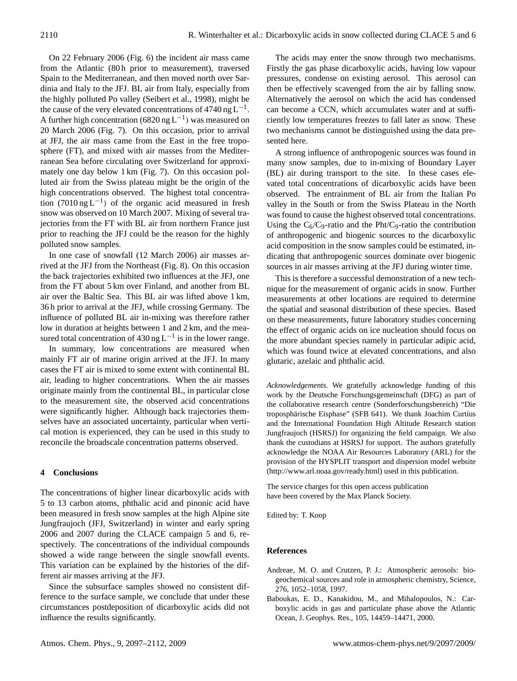On 22 February 2006 (Fig. 6) the incident air mass came from the Atlantic (80h prior to measurement), traversed Spain to the Mediterranean, and then moved north over Sardinia and Italy to the JFJ. BL air from Italy, especially from the highly polluted Po valley (Seibert et al., 1998), might be the cause of the very elevated concentrations of 4740 ng  $L^{-1}$ . A further high concentration (6820 ng L<sup>-1</sup>) was measured on 20 March 2006 (Fig. 7). On this occasion, prior to arrival at JFJ, the air mass came from the East in the free troposphere (FT), and mixed with air masses from the Mediterranean Sea before circulating over Switzerland for approximately one day below 1 km (Fig. 7). On this occasion polluted air from the Swiss plateau might be the origin of the high concentrations observed. The highest total concentration (7010 ng L−<sup>1</sup> ) of the organic acid measured in fresh snow was observed on 10 March 2007. Mixing of several trajectories from the FT with BL air from northern France just prior to reaching the JFJ could be the reason for the highly polluted snow samples.

In one case of snowfall (12 March 2006) air masses arrived at the JFJ from the Northeast (Fig. 8). On this occasion the back trajectories exhibited two influences at the JFJ, one from the FT about 5 km over Finland, and another from BL air over the Baltic Sea. This BL air was lifted above 1 km, 36 h prior to arrival at the JFJ, while crossing Germany. The influence of polluted BL air in-mixing was therefore rather low in duration at heights between 1 and 2 km, and the measured total concentration of  $430$  ng L<sup>-1</sup> is in the lower range.

In summary, low concentrations are measured when mainly FT air of marine origin arrived at the JFJ. In many cases the FT air is mixed to some extent with continental BL air, leading to higher concentrations. When the air masses originate mainly from the continental BL, in particular close to the measurement site, the observed acid concentrations were significantly higher. Although back trajectories themselves have an associated uncertainty, particular when vertical motion is experienced, they can be used in this study to reconcile the broadscale concentration patterns observed.

# **4 Conclusions**

The concentrations of higher linear dicarboxylic acids with 5 to 13 carbon atoms, phthalic acid and pinonic acid have been measured in fresh snow samples at the high Alpine site Jungfraujoch (JFJ, Switzerland) in winter and early spring 2006 and 2007 during the CLACE campaign 5 and 6, respectively. The concentrations of the individual compounds showed a wide range between the single snowfall events. This variation can be explained by the histories of the different air masses arriving at the JFJ.

Since the subsurface samples showed no consistent difference to the surface sample, we conclude that under these circumstances postdeposition of dicarboxylic acids did not influence the results significantly.

The acids may enter the snow through two mechanisms. Firstly the gas phase dicarboxylic acids, having low vapour pressures, condense on existing aerosol. This aerosol can then be effectively scavenged from the air by falling snow. Alternatively the aerosol on which the acid has condensed can become a CCN, which accumulates water and at sufficiently low temperatures freezes to fall later as snow. These two mechanisms cannot be distinguished using the data presented here.

A strong influence of anthropogenic sources was found in many snow samples, due to in-mixing of Boundary Layer (BL) air during transport to the site. In these cases elevated total concentrations of dicarboxylic acids have been observed. The entrainment of BL air from the Italian Po valley in the South or from the Swiss Plateau in the North was found to cause the highest observed total concentrations. Using the  $C_6/C_9$ -ratio and the Pht/C<sub>9</sub>-ratio the contribution of anthropogenic and biogenic sources to the dicarboxylic acid composition in the snow samples could be estimated, indicating that anthropogenic sources dominate over biogenic sources in air masses arriving at the JFJ during winter time.

This is therefore a successful demonstration of a new technique for the measurement of organic acids in snow. Further measurements at other locations are required to determine the spatial and seasonal distribution of these species. Based on these measurements, future laboratory studies concerning the effect of organic acids on ice nucleation should focus on the more abundant species namely in particular adipic acid, which was found twice at elevated concentrations, and also glutaric, azelaic and phthalic acid.

*Acknowledgements.* We gratefully acknowledge funding of this work by the Deutsche Forschungsgemeinschaft (DFG) as part of the collaborative research centre (Sonderforschungsbereich) "Die troposphärische Eisphase" (SFB 641). We thank Joachim Curtius and the International Foundation High Altitude Research station Jungfraujoch (HSRSJ) for organizing the field campaign. We also thank the custodians at HSRSJ for support. The authors gratefully acknowledge the NOAA Air Resources Laboratory (ARL) for the provision of the HYSPLIT transport and dispersion model website [\(http://www.arl.noaa.gov/ready.html\)](http://www.arl.noaa.gov/ready.html) used in this publication.

The service charges for this open access publication have been covered by the Max Planck Society.

Edited by: T. Koop

## **References**

- Andreae, M. O. and Crutzen, P. J.: Atmospheric aerosols: biogeochemical sources and role in atmospheric chemistry, Science, 276, 1052–1058, 1997.
- Baboukas, E. D., Kanakidou, M., and Mihalopoulos, N.: Carboxylic acids in gas and particulate phase above the Atlantic Ocean, J. Geophys. Res., 105, 14459–14471, 2000.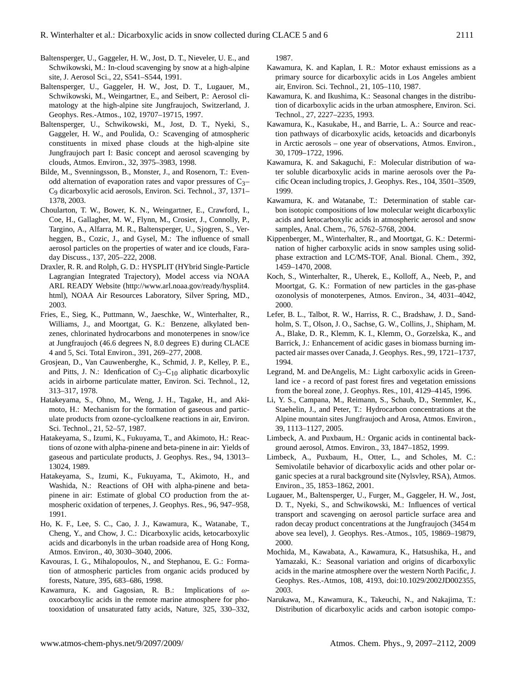- Baltensperger, U., Gaggeler, H. W., Jost, D. T., Nieveler, U. E., and Schwikowski, M.: In-cloud scavenging by snow at a high-alpine site, J. Aerosol Sci., 22, S541–S544, 1991.
- Baltensperger, U., Gaggeler, H. W., Jost, D. T., Lugauer, M., Schwikowski, M., Weingartner, E., and Seibert, P.: Aerosol climatology at the high-alpine site Jungfraujoch, Switzerland, J. Geophys. Res.-Atmos., 102, 19707–19715, 1997.
- Baltensperger, U., Schwikowski, M., Jost, D. T., Nyeki, S., Gaggeler, H. W., and Poulida, O.: Scavenging of atmospheric constituents in mixed phase clouds at the high-alpine site Jungfraujoch part I: Basic concept and aerosol scavenging by clouds, Atmos. Environ., 32, 3975–3983, 1998.
- Bilde, M., Svenningsson, B., Monster, J., and Rosenorn, T.: Evenodd alternation of evaporation rates and vapor pressures of  $C_3$ – C9 dicarboxylic acid aerosols, Environ. Sci. Technol., 37, 1371– 1378, 2003.
- Choularton, T. W., Bower, K. N., Weingartner, E., Crawford, I., Coe, H., Gallagher, M. W., Flynn, M., Crosier, J., Connolly, P., Targino, A., Alfarra, M. R., Baltensperger, U., Sjogren, S., Verheggen, B., Cozic, J., and Gysel, M.: The influence of small aerosol particles on the properties of water and ice clouds, Faraday Discuss., 137, 205–222, 2008.
- Draxler, R. R. and Rolph, G. D.: HYSPLIT (HYbrid Single-Particle Lagrangian Integrated Trajectory), Model access via NOAA ARL READY Website [\(http://www.arl.noaa.gov/ready/hysplit4.](http://www.arl.noaa.gov/ready/hysplit4.html) [html\)](http://www.arl.noaa.gov/ready/hysplit4.html), NOAA Air Resources Laboratory, Silver Spring, MD., 2003.
- Fries, E., Sieg, K., Puttmann, W., Jaeschke, W., Winterhalter, R., Williams, J., and Moortgat, G. K.: Benzene, alkylated benzenes, chlorinated hydrocarbons and monoterpenes in snow/ice at Jungfraujoch (46.6 degrees N, 8.0 degrees E) during CLACE 4 and 5, Sci. Total Environ., 391, 269–277, 2008.
- Grosjean, D., Van Cauwenberghe, K., Schmid, J. P., Kelley, P. E., and Pitts, J. N.: Idenfication of  $C_3 - C_{10}$  aliphatic dicarboxylic acids in airborne particulate matter, Environ. Sci. Technol., 12, 313–317, 1978.
- Hatakeyama, S., Ohno, M., Weng, J. H., Tagake, H., and Akimoto, H.: Mechanism for the formation of gaseous and particulate products from ozone-cycloalkene reactions in air, Environ. Sci. Technol., 21, 52–57, 1987.
- Hatakeyama, S., Izumi, K., Fukuyama, T., and Akimoto, H.: Reactions of ozone with alpha-pinene and beta-pinene in air: Yields of gaseous and particulate products, J. Geophys. Res., 94, 13013– 13024, 1989.
- Hatakeyama, S., Izumi, K., Fukuyama, T., Akimoto, H., and Washida, N.: Reactions of OH with alpha-pinene and betapinene in air: Estimate of global CO production from the atmospheric oxidation of terpenes, J. Geophys. Res., 96, 947–958, 1991.
- Ho, K. F., Lee, S. C., Cao, J. J., Kawamura, K., Watanabe, T., Cheng, Y., and Chow, J. C.: Dicarboxylic acids, ketocarboxylic acids and dicarbonyls in the urban roadside area of Hong Kong, Atmos. Environ., 40, 3030–3040, 2006.
- Kavouras, I. G., Mihalopoulos, N., and Stephanou, E. G.: Formation of atmospheric particles from organic acids produced by forests, Nature, 395, 683–686, 1998.
- Kawamura, K. and Gagosian, R. B.: Implications of  $\omega$ oxocarboxylic acids in the remote marine atmosphere for photooxidation of unsaturated fatty acids, Nature, 325, 330–332,

1987.

- Kawamura, K. and Kaplan, I. R.: Motor exhaust emissions as a primary source for dicarboxylic acids in Los Angeles ambient air, Environ. Sci. Technol., 21, 105–110, 1987.
- Kawamura, K. and Ikushima, K.: Seasonal changes in the distribution of dicarboxylic acids in the urban atmosphere, Environ. Sci. Technol., 27, 2227–2235, 1993.
- Kawamura, K., Kasukabe, H., and Barrie, L. A.: Source and reaction pathways of dicarboxylic acids, ketoacids and dicarbonyls in Arctic aerosols – one year of observations, Atmos. Environ., 30, 1709–1722, 1996.
- Kawamura, K. and Sakaguchi, F.: Molecular distribution of water soluble dicarboxylic acids in marine aerosols over the Pacific Ocean including tropics, J. Geophys. Res., 104, 3501–3509, 1999.
- Kawamura, K. and Watanabe, T.: Determination of stable carbon isotopic compositions of low molecular weight dicarboxylic acids and ketocarboxylic acids in atmospheric aerosol and snow samples, Anal. Chem., 76, 5762–5768, 2004.
- Kippenberger, M., Winterhalter, R., and Moortgat, G. K.: Determination of higher carboxylic acids in snow samples using solidphase extraction and LC/MS-TOF, Anal. Bional. Chem., 392, 1459–1470, 2008.
- Koch, S., Winterhalter, R., Uherek, E., Kolloff, A., Neeb, P., and Moortgat, G. K.: Formation of new particles in the gas-phase ozonolysis of monoterpenes, Atmos. Environ., 34, 4031–4042, 2000.
- Lefer, B. L., Talbot, R. W., Harriss, R. C., Bradshaw, J. D., Sandholm, S. T., Olson, J. O., Sachse, G. W., Collins, J., Shipham, M. A., Blake, D. R., Klemm, K. I., Klemm, O., Gorzelska, K., and Barrick, J.: Enhancement of acidic gases in biomass burning impacted air masses over Canada, J. Geophys. Res., 99, 1721–1737, 1994.
- Legrand, M. and DeAngelis, M.: Light carboxylic acids in Greenland ice - a record of past forest fires and vegetation emissions from the boreal zone, J. Geophys. Res., 101, 4129–4145, 1996.
- Li, Y. S., Campana, M., Reimann, S., Schaub, D., Stemmler, K., Staehelin, J., and Peter, T.: Hydrocarbon concentrations at the Alpine mountain sites Jungfraujoch and Arosa, Atmos. Environ., 39, 1113–1127, 2005.
- Limbeck, A. and Puxbaum, H.: Organic acids in continental background aerosol, Atmos. Environ., 33, 1847–1852, 1999.
- Limbeck, A., Puxbaum, H., Otter, L., and Scholes, M. C.: Semivolatile behavior of dicarboxylic acids and other polar organic species at a rural background site (Nylsvley, RSA), Atmos. Environ., 35, 1853–1862, 2001.
- Lugauer, M., Baltensperger, U., Furger, M., Gaggeler, H. W., Jost, D. T., Nyeki, S., and Schwikowski, M.: Influences of vertical transport and scavenging on aerosol particle surface area and radon decay product concentrations at the Jungfraujoch (3454 m above sea level), J. Geophys. Res.-Atmos., 105, 19869–19879, 2000.
- Mochida, M., Kawabata, A., Kawamura, K., Hatsushika, H., and Yamazaki, K.: Seasonal variation and origins of dicarboxylic acids in the marine atmosphere over the western North Pacific, J. Geophys. Res.-Atmos, 108, 4193, doi:10.1029/2002JD002355, 2003.
- Narukawa, M., Kawamura, K., Takeuchi, N., and Nakajima, T.: Distribution of dicarboxylic acids and carbon isotopic compo-